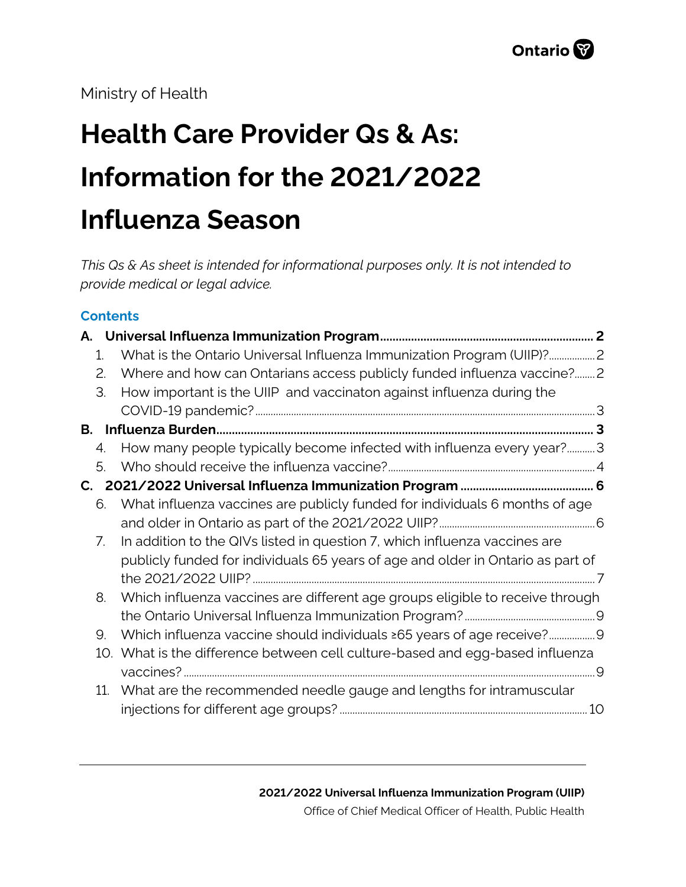Ministry of Health

# **Health Care Provider Qs & As: Information for the 2021/2022 Influenza Season**

*This Qs & As sheet is intended for informational purposes only. It is not intended to provide medical or legal advice.*

## **Contents**

|    | 1.              | What is the Ontario Universal Influenza Immunization Program (UIIP)?            |  |
|----|-----------------|---------------------------------------------------------------------------------|--|
|    | 2.              | Where and how can Ontarians access publicly funded influenza vaccine? 2         |  |
|    | 3.              | How important is the UIIP and vaccinaton against influenza during the           |  |
|    |                 |                                                                                 |  |
| В. |                 |                                                                                 |  |
|    | 4.              | How many people typically become infected with influenza every year?3           |  |
|    | 5.              |                                                                                 |  |
|    |                 |                                                                                 |  |
|    | 6.              | What influenza vaccines are publicly funded for individuals 6 months of age     |  |
|    |                 |                                                                                 |  |
|    | 7.              | In addition to the QIVs listed in question 7, which influenza vaccines are      |  |
|    |                 | publicly funded for individuals 65 years of age and older in Ontario as part of |  |
|    |                 |                                                                                 |  |
|    | 8.              | Which influenza vaccines are different age groups eligible to receive through   |  |
|    |                 |                                                                                 |  |
|    | 9.              | Which influenza vaccine should individuals $\geq 65$ years of age receive?9     |  |
|    |                 | 10. What is the difference between cell culture-based and egg-based influenza   |  |
|    |                 |                                                                                 |  |
|    | 11 <sub>1</sub> | What are the recommended needle gauge and lengths for intramuscular             |  |
|    |                 |                                                                                 |  |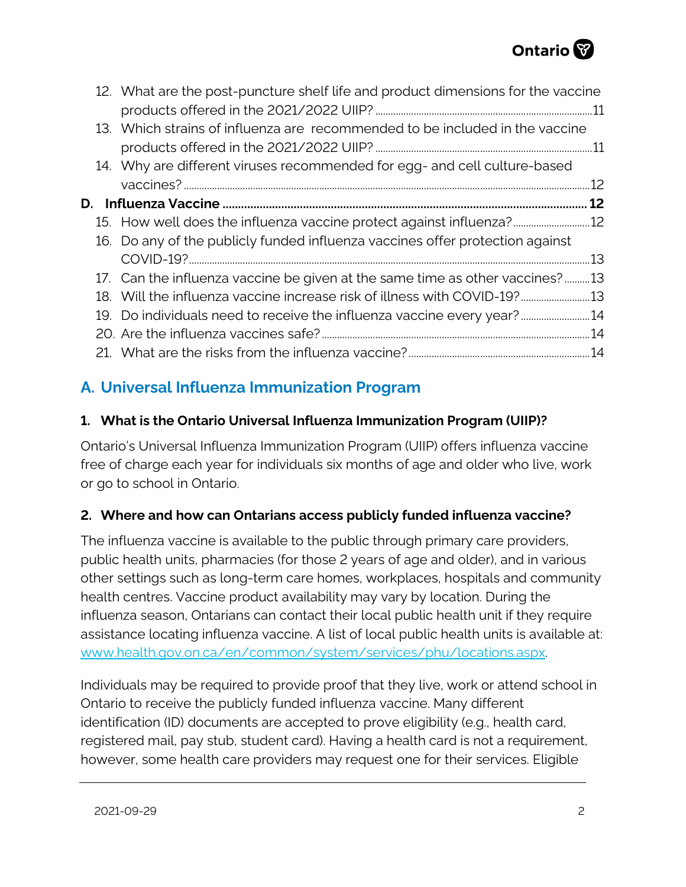

|  | 12. What are the post-puncture shelf life and product dimensions for the vaccine |  |
|--|----------------------------------------------------------------------------------|--|
|  | 13. Which strains of influenza are recommended to be included in the vaccine     |  |
|  |                                                                                  |  |
|  | 14. Why are different viruses recommended for egg- and cell culture-based        |  |
|  |                                                                                  |  |
|  |                                                                                  |  |
|  | 15. How well does the influenza vaccine protect against influenza?               |  |
|  | 16. Do any of the publicly funded influenza vaccines offer protection against    |  |
|  |                                                                                  |  |
|  | 17. Can the influenza vaccine be given at the same time as other vaccines?13     |  |
|  | 13. Will the influenza vaccine increase risk of illness with COVID-19?13         |  |
|  | 19. Do individuals need to receive the influenza vaccine every year?14           |  |
|  |                                                                                  |  |
|  |                                                                                  |  |

# <span id="page-1-0"></span>**A. Universal Influenza Immunization Program**

## <span id="page-1-1"></span>**1. What is the Ontario Universal Influenza Immunization Program (UIIP)?**

Ontario's Universal Influenza Immunization Program (UIIP) offers influenza vaccine free of charge each year for individuals six months of age and older who live, work or go to school in Ontario.

# <span id="page-1-2"></span>**2. Where and how can Ontarians access publicly funded influenza vaccine?**

The influenza vaccine is available to the public through primary care providers, public health units, pharmacies (for those 2 years of age and older), and in various other settings such as long-term care homes, workplaces, hospitals and community health centres. Vaccine product availability may vary by location. During the influenza season, Ontarians can contact their local public health unit if they require assistance locating influenza vaccine. A list of local public health units is available at: [www.health.gov.on.ca/en/common/system/services/phu/locations.aspx.](http://www.health.gov.on.ca/en/common/system/services/phu/locations.aspx)

Individuals may be required to provide proof that they live, work or attend school in Ontario to receive the publicly funded influenza vaccine. Many different identification (ID) documents are accepted to prove eligibility (e.g., health card, registered mail, pay stub, student card). Having a health card is not a requirement, however, some health care providers may request one for their services. Eligible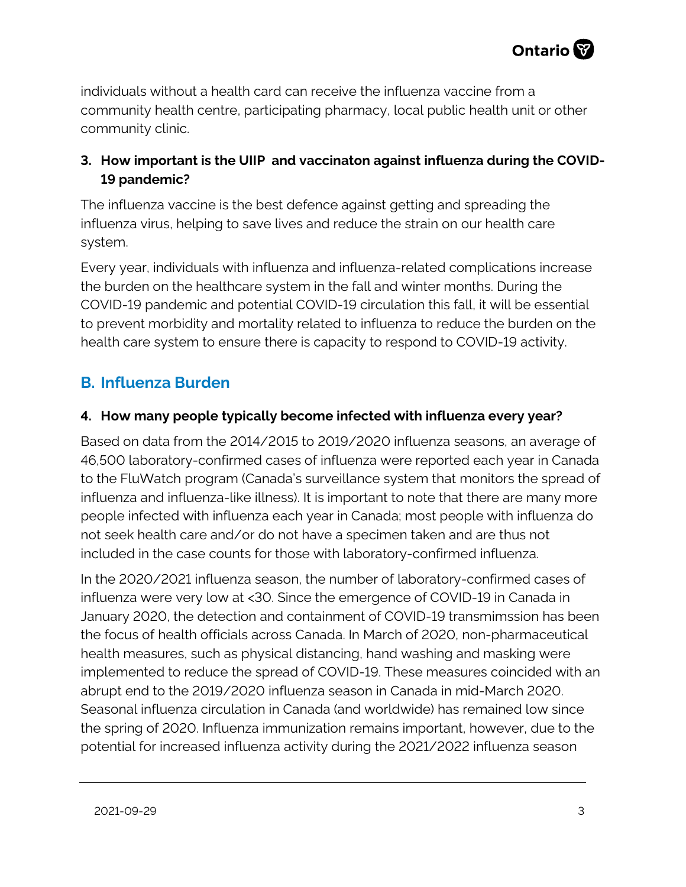

individuals without a health card can receive the influenza vaccine from a community health centre, participating pharmacy, local public health unit or other community clinic.

# <span id="page-2-0"></span>**3. How important is the UIIP and vaccinaton against influenza during the COVID-19 pandemic?**

The influenza vaccine is the best defence against getting and spreading the influenza virus, helping to save lives and reduce the strain on our health care system.

Every year, individuals with influenza and influenza-related complications increase the burden on the healthcare system in the fall and winter months. During the COVID-19 pandemic and potential COVID-19 circulation this fall, it will be essential to prevent morbidity and mortality related to influenza to reduce the burden on the health care system to ensure there is capacity to respond to COVID-19 activity.

# <span id="page-2-1"></span>**B. Influenza Burden**

## <span id="page-2-2"></span>**4. How many people typically become infected with influenza every year?**

Based on data from the 2014/2015 to 2019/2020 influenza seasons, an average of 46,500 laboratory-confirmed cases of influenza were reported each year in Canada to the FluWatch program (Canada's surveillance system that monitors the spread of influenza and influenza-like illness). It is important to note that there are many more people infected with influenza each year in Canada; most people with influenza do not seek health care and/or do not have a specimen taken and are thus not included in the case counts for those with laboratory-confirmed influenza.

In the 2020/2021 influenza season, the number of laboratory-confirmed cases of influenza were very low at <30. Since the emergence of COVID-19 in Canada in January 2020, the detection and containment of COVID-19 transmimssion has been the focus of health officials across Canada. In March of 2020, non-pharmaceutical health measures, such as physical distancing, hand washing and masking were implemented to reduce the spread of COVID-19. These measures coincided with an abrupt end to the 2019/2020 influenza season in Canada in mid-March 2020. Seasonal influenza circulation in Canada (and worldwide) has remained low since the spring of 2020. Influenza immunization remains important, however, due to the potential for increased influenza activity during the 2021/2022 influenza season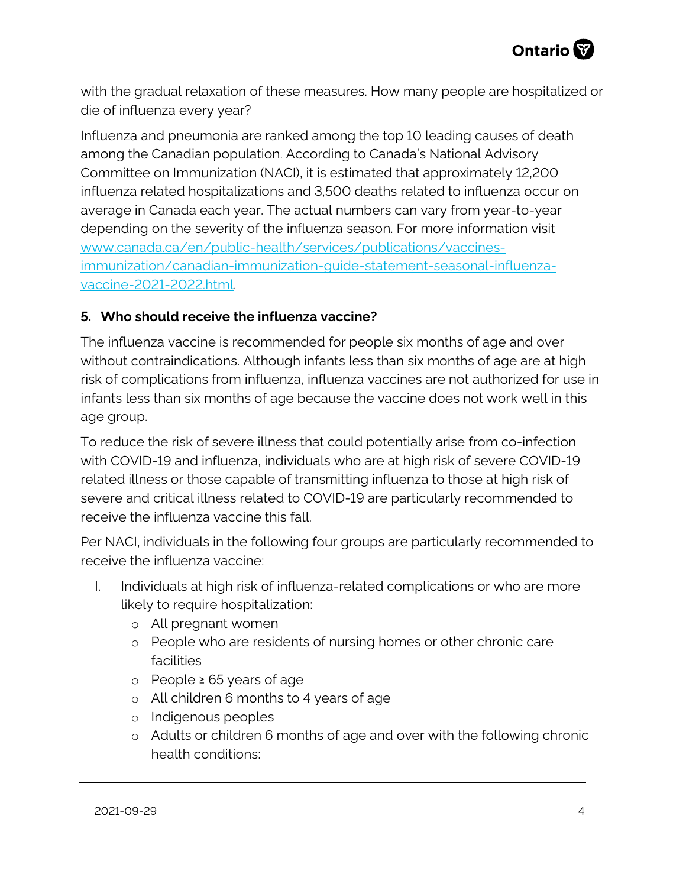with the gradual relaxation of these measures. How many people are hospitalized or die of influenza every year?

Influenza and pneumonia are ranked among the top 10 leading causes of death among the Canadian population. According to Canada's National Advisory Committee on Immunization (NACI), it is estimated that approximately 12,200 influenza related hospitalizations and 3,500 deaths related to influenza occur on average in Canada each year. The actual numbers can vary from year-to-year depending on the severity of the influenza season. For more information visit [www.canada.ca/en/public-health/services/publications/vaccines](http://www.canada.ca/en/public-health/services/publications/vaccines-immunization/canadian-immunization-guide-statement-seasonal-influenza-vaccine-2021-2022.html)[immunization/canadian-immunization-guide-statement-seasonal-influenza](http://www.canada.ca/en/public-health/services/publications/vaccines-immunization/canadian-immunization-guide-statement-seasonal-influenza-vaccine-2021-2022.html)[vaccine-2021-2022.html.](http://www.canada.ca/en/public-health/services/publications/vaccines-immunization/canadian-immunization-guide-statement-seasonal-influenza-vaccine-2021-2022.html)

## <span id="page-3-0"></span>**5. Who should receive the influenza vaccine?**

The influenza vaccine is recommended for people six months of age and over without contraindications. Although infants less than six months of age are at high risk of complications from influenza, influenza vaccines are not authorized for use in infants less than six months of age because the vaccine does not work well in this age group.

To reduce the risk of severe illness that could potentially arise from co-infection with COVID-19 and influenza, individuals who are at high risk of severe COVID-19 related illness or those capable of transmitting influenza to those at high risk of severe and critical illness related to COVID-19 are particularly recommended to receive the influenza vaccine this fall.

Per NACI, individuals in the following four groups are particularly recommended to receive the influenza vaccine:

- I. Individuals at high risk of influenza-related complications or who are more likely to require hospitalization:
	- o All pregnant women
	- o People who are residents of nursing homes or other chronic care facilities
	- o People ≥ 65 years of age
	- o All children 6 months to 4 years of age
	- o Indigenous peoples
	- o Adults or children 6 months of age and over with the following chronic health conditions: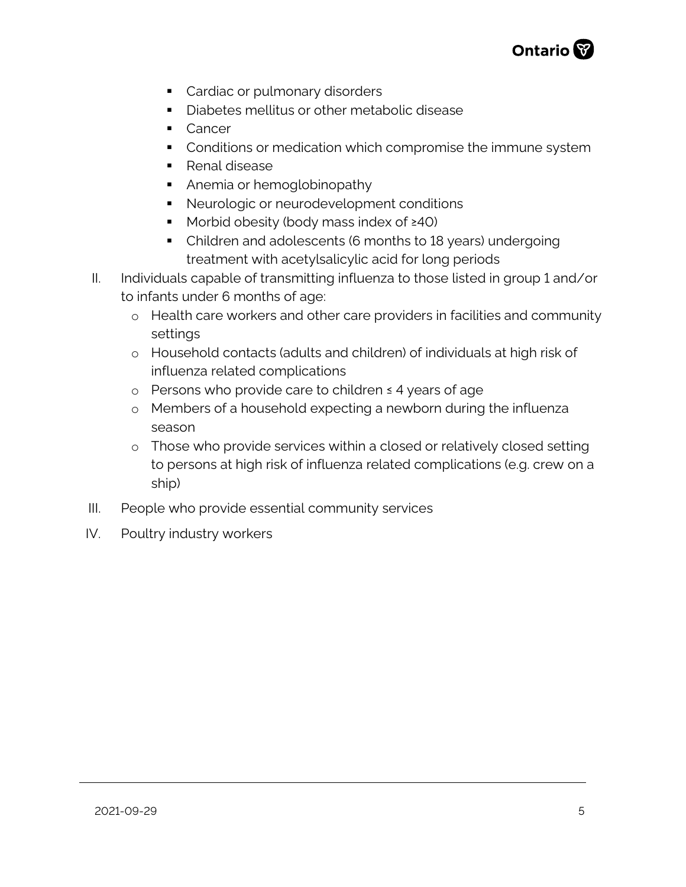

- Cardiac or pulmonary disorders
- **Diabetes mellitus or other metabolic disease**
- Cancer
- **Conditions or medication which compromise the immune system**
- **Renal disease**
- Anemia or hemoglobinopathy
- **Neurologic or neurodevelopment conditions**
- Morbid obesity (body mass index of ≥40)
- Children and adolescents (6 months to 18 years) undergoing treatment with acetylsalicylic acid for long periods
- II. Individuals capable of transmitting influenza to those listed in group 1 and/or to infants under 6 months of age:
	- o Health care workers and other care providers in facilities and community settings
	- o Household contacts (adults and children) of individuals at high risk of influenza related complications
	- o Persons who provide care to children ≤ 4 years of age
	- o Members of a household expecting a newborn during the influenza season
	- o Those who provide services within a closed or relatively closed setting to persons at high risk of influenza related complications (e.g. crew on a ship)
- III. People who provide essential community services
- IV. Poultry industry workers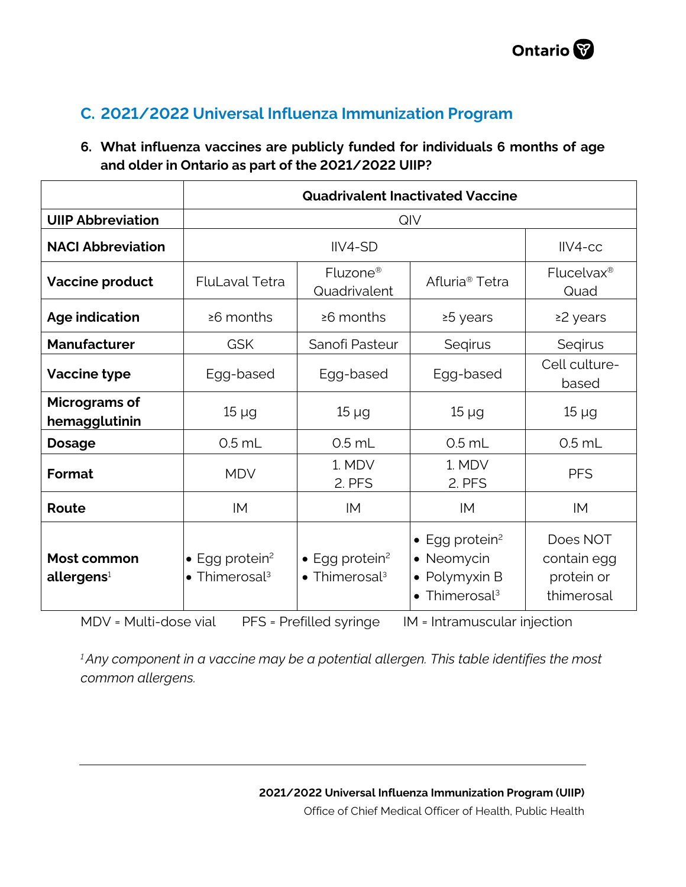# <span id="page-5-0"></span>**C. 2021/2022 Universal Influenza Immunization Program**

# <span id="page-5-1"></span>**6. What influenza vaccines are publicly funded for individuals 6 months of age and older in Ontario as part of the 2021/2022 UIIP?**

|                                       | <b>Quadrivalent Inactivated Vaccine</b>                         |                                                                         |                                                                                                      |                                                     |  |
|---------------------------------------|-----------------------------------------------------------------|-------------------------------------------------------------------------|------------------------------------------------------------------------------------------------------|-----------------------------------------------------|--|
| <b>UIIP Abbreviation</b>              | QIV                                                             |                                                                         |                                                                                                      |                                                     |  |
| <b>NACI Abbreviation</b>              |                                                                 | IIV4-SD                                                                 |                                                                                                      | $IIVA-CC$                                           |  |
| Vaccine product                       | Fluzone <sup>®</sup><br><b>FluLaval Tetra</b><br>Quadrivalent   |                                                                         | Afluria <sup>®</sup> Tetra                                                                           | Flucelvax <sup>®</sup><br>Quad                      |  |
| <b>Age indication</b>                 | $\geq 6$ months                                                 | $\geq 6$ months                                                         | ≥5 years                                                                                             | ≥2 years                                            |  |
| <b>Manufacturer</b>                   | <b>GSK</b>                                                      | Sanofi Pasteur                                                          | Segirus                                                                                              | Segirus                                             |  |
| <b>Vaccine type</b>                   | Egg-based                                                       | Egg-based                                                               | Egg-based                                                                                            | Cell culture-<br>based                              |  |
| Micrograms of<br>hemagglutinin        | $15 \mu g$                                                      | $15 \mu g$                                                              | $15 \mu g$                                                                                           | $15 \mu g$                                          |  |
| <b>Dosage</b>                         | $0.5$ mL                                                        | $0.5$ mL                                                                | $0.5$ mL                                                                                             | $0.5$ mL                                            |  |
| Format                                | <b>MDV</b>                                                      | 1. MDV<br>2. PFS                                                        | 1. MDV<br>2. PFS                                                                                     | <b>PFS</b>                                          |  |
| Route                                 | IM                                                              | IM                                                                      | IM                                                                                                   | IM                                                  |  |
| Most common<br>allergens <sup>1</sup> | $\bullet$ Egg protein <sup>2</sup><br>• Thimerosal <sup>3</sup> | $\bullet$ Egg protein <sup>2</sup><br>$\bullet$ Thimerosal <sup>3</sup> | $\bullet$ Egg protein <sup>2</sup><br>Neomycin<br>• Polymyxin B<br>$\bullet$ Thimerosal <sup>3</sup> | Does NOT<br>contain egg<br>protein or<br>thimerosal |  |

MDV = Multi-dose vial PFS = Prefilled syringe IM = Intramuscular injection

*1 Any component in a vaccine may be a potential allergen. This table identifies the most common allergens.*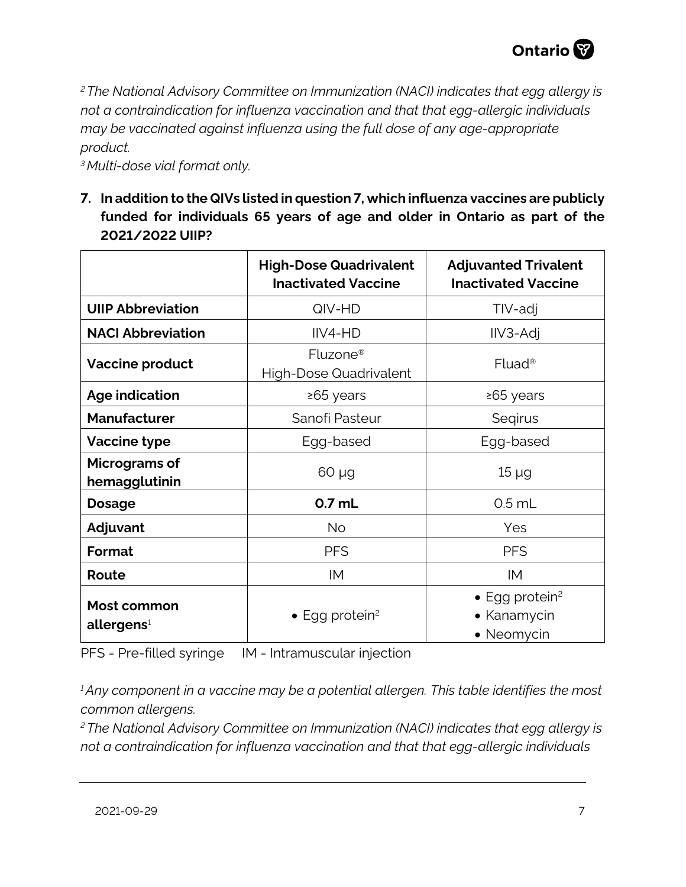<span id="page-6-1"></span>*2 The National Advisory Committee on Immunization (NACI) indicates that egg allergy is not a contraindication for influenza vaccination and that that egg-allergic individuals may be vaccinated against influenza using the full dose of any age-appropriate product.*

<span id="page-6-0"></span>*3 Multi-dose vial format only.*

**7. In addition to the QIVs listed in question 7, which influenza vaccines are publicly funded for individuals 65 years of age and older in Ontario as part of the 2021/2022 UIIP?**

|                                       | <b>High-Dose Quadrivalent</b><br><b>Inactivated Vaccine</b> | <b>Adjuvanted Trivalent</b><br><b>Inactivated Vaccine</b>       |
|---------------------------------------|-------------------------------------------------------------|-----------------------------------------------------------------|
| <b>UIIP Abbreviation</b>              | QIV-HD                                                      | TIV-adj                                                         |
| <b>NACI Abbreviation</b>              | IIV4-HD                                                     | IIV3-Adj                                                        |
| <b>Vaccine product</b>                | Fluzone <sup>®</sup><br><b>High-Dose Quadrivalent</b>       | $Fluad^®$                                                       |
| <b>Age indication</b>                 | ≥65 years                                                   | ≥65 years                                                       |
| <b>Manufacturer</b>                   | Sanofi Pasteur                                              | Segirus                                                         |
| <b>Vaccine type</b>                   | Egg-based                                                   | Egg-based                                                       |
| Micrograms of<br>hemagglutinin        | $60 \mu g$                                                  | $15 \mu g$                                                      |
| <b>Dosage</b>                         | $0.7$ mL                                                    | $0.5$ mL                                                        |
| Adjuvant                              | <b>No</b>                                                   | Yes                                                             |
| Format                                | <b>PFS</b>                                                  | <b>PFS</b>                                                      |
| Route                                 | IM                                                          | IM                                                              |
| Most common<br>allergens <sup>1</sup> | $\bullet$ Egg protein <sup>2</sup>                          | $\bullet$ Egg protein <sup>2</sup><br>• Kanamycin<br>• Neomycin |

PFS = Pre-filled syringe IM = Intramuscular injection

*1 Any component in a vaccine may be a potential allergen. This table identifies the most common allergens.*

*2 The National Advisory Committee on Immunization (NACI) indicates that egg allergy is not a contraindication for influenza vaccination and that that egg-allergic individuals*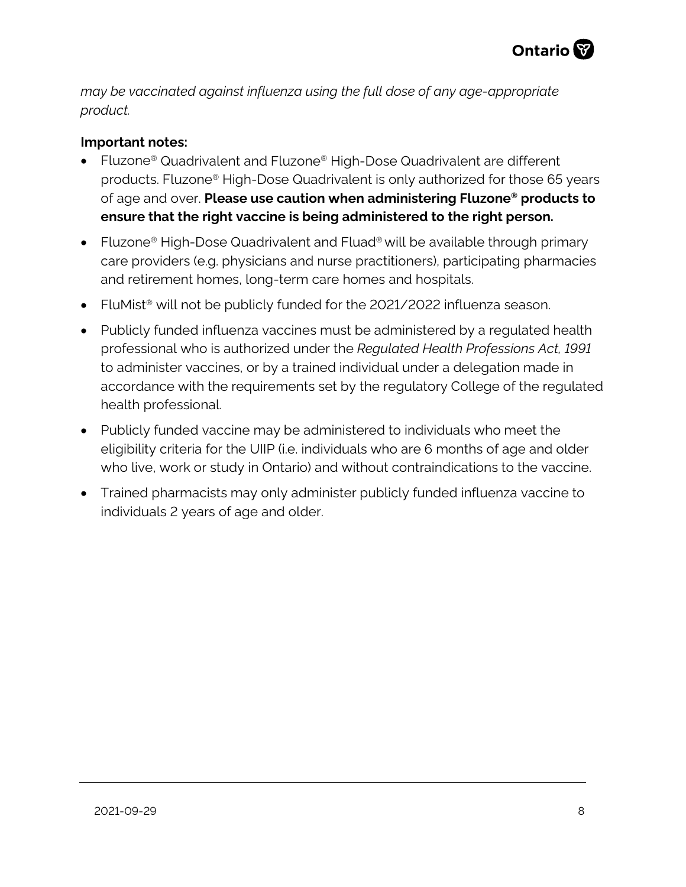

*may be vaccinated against influenza using the full dose of any age-appropriate product.*

#### **Important notes:**

- Fluzone® Quadrivalent and Fluzone® High-Dose Quadrivalent are different products. Fluzone® High-Dose Quadrivalent is only authorized for those 65 years of age and over. **Please use caution when administering Fluzone® products to ensure that the right vaccine is being administered to the right person.**
- Fluzone<sup>®</sup> High-Dose Quadrivalent and Fluad<sup>®</sup> will be available through primary care providers (e.g. physicians and nurse practitioners), participating pharmacies and retirement homes, long-term care homes and hospitals.
- FluMist<sup>®</sup> will not be publicly funded for the 2021/2022 influenza season.
- Publicly funded influenza vaccines must be administered by a regulated health professional who is authorized under the *Regulated Health Professions Act, 1991* to administer vaccines, or by a trained individual under a delegation made in accordance with the requirements set by the regulatory College of the regulated health professional.
- Publicly funded vaccine may be administered to individuals who meet the eligibility criteria for the UIIP (i.e. individuals who are 6 months of age and older who live, work or study in Ontario) and without contraindications to the vaccine.
- <span id="page-7-0"></span>• Trained pharmacists may only administer publicly funded influenza vaccine to individuals 2 years of age and older.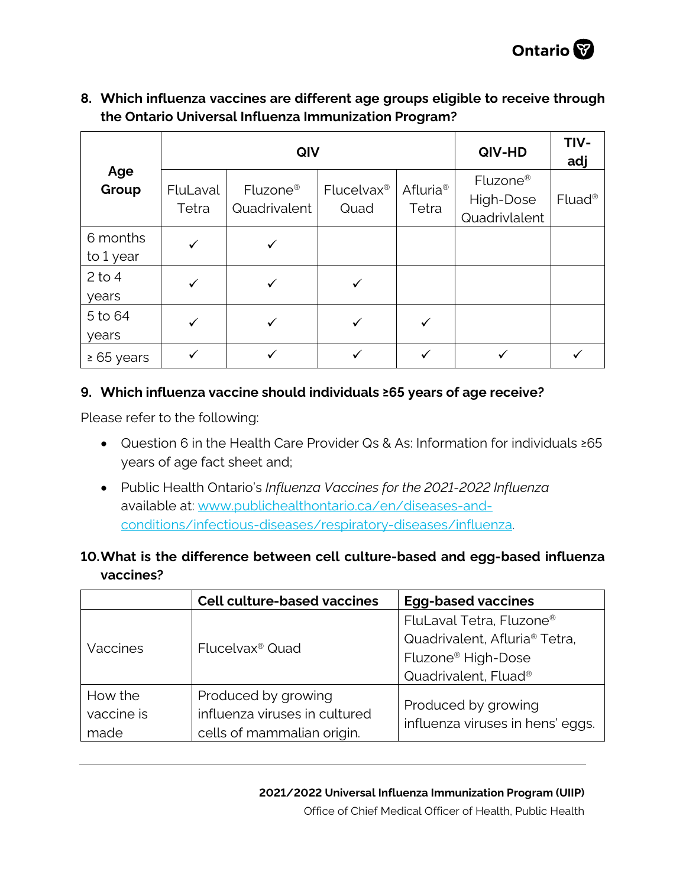

## **8. Which influenza vaccines are different age groups eligible to receive through the Ontario Universal Influenza Immunization Program?**

|                       | QIV               |                          |                                |                               | QIV-HD                                             | TIV-<br>adj        |  |
|-----------------------|-------------------|--------------------------|--------------------------------|-------------------------------|----------------------------------------------------|--------------------|--|
| Age<br>Group          | FluLaval<br>Tetra | Fluzone®<br>Quadrivalent | Flucelvax <sup>®</sup><br>Quad | Afluria <sup>®</sup><br>Tetra | Fluzone <sup>®</sup><br>High-Dose<br>Quadrivlalent | Fluad <sup>®</sup> |  |
| 6 months<br>to 1 year | $\checkmark$      |                          |                                |                               |                                                    |                    |  |
| $2$ to 4<br>years     |                   |                          |                                |                               |                                                    |                    |  |
| 5 to 64<br>years      | ✓                 |                          |                                |                               |                                                    |                    |  |
| $\geq 65$ years       |                   |                          |                                |                               |                                                    |                    |  |

## <span id="page-8-0"></span>**9. Which influenza vaccine should individuals ≥65 years of age receive?**

Please refer to the following:

- Question 6 in the Health Care Provider Qs & As: Information for individuals ≥65 years of age fact sheet and;
- Public Health Ontario's *Influenza Vaccines for the 2021-2022 Influenza* available at: [www.publichealthontario.ca/en/diseases-and](http://www.publichealthontario.ca/en/diseases-and-conditions/infectious-diseases/respiratory-diseases/influenza)[conditions/infectious-diseases/respiratory-diseases/influenza.](http://www.publichealthontario.ca/en/diseases-and-conditions/infectious-diseases/respiratory-diseases/influenza)

# <span id="page-8-1"></span>**10.What is the difference between cell culture-based and egg-based influenza vaccines?**

|                               | <b>Cell culture-based vaccines</b>                                                 | <b>Egg-based vaccines</b>                                                                                                                               |
|-------------------------------|------------------------------------------------------------------------------------|---------------------------------------------------------------------------------------------------------------------------------------------------------|
| Vaccines                      | Flucelvax <sup>®</sup> Quad                                                        | FluLaval Tetra, Fluzone <sup>®</sup><br>Quadrivalent, Afluria <sup>®</sup> Tetra,<br>Fluzone <sup>®</sup> High-Dose<br>Quadrivalent, Fluad <sup>®</sup> |
| How the<br>vaccine is<br>made | Produced by growing<br>influenza viruses in cultured<br>cells of mammalian origin. | Produced by growing<br>influenza viruses in hens' eggs.                                                                                                 |

#### **2021/2022 Universal Influenza Immunization Program (UIIP)**

Office of Chief Medical Officer of Health, Public Health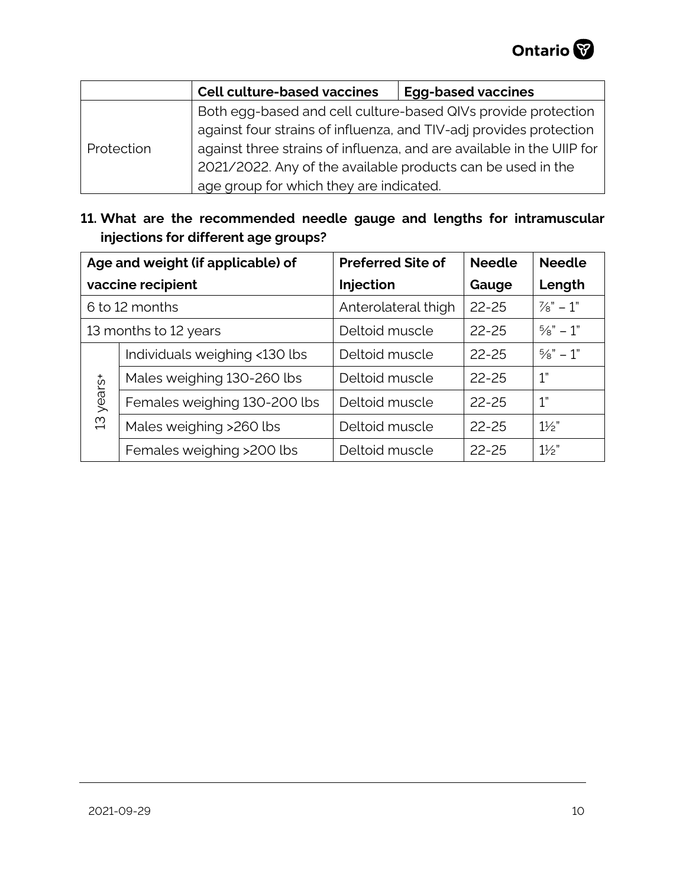|            | <b>Cell culture-based vaccines</b>                                    | <b>Egg-based vaccines</b> |  |
|------------|-----------------------------------------------------------------------|---------------------------|--|
|            | Both egg-based and cell culture-based QIVs provide protection         |                           |  |
|            | against four strains of influenza, and TIV-adj provides protection    |                           |  |
| Protection | against three strains of influenza, and are available in the UIIP for |                           |  |
|            | 2021/2022. Any of the available products can be used in the           |                           |  |
|            | age group for which they are indicated.                               |                           |  |

# <span id="page-9-0"></span>**11. What are the recommended needle gauge and lengths for intramuscular injections for different age groups?**

<span id="page-9-1"></span>

|                       | Age and weight (if applicable) of | <b>Preferred Site of</b> | <b>Needle</b> | <b>Needle</b>        |
|-----------------------|-----------------------------------|--------------------------|---------------|----------------------|
|                       | vaccine recipient                 | Injection                | Gauge         | Length               |
| 6 to 12 months        |                                   | Anterolateral thigh      | $22 - 25$     | $\frac{7}{8} - 1$ "  |
| 13 months to 12 years |                                   | Deltoid muscle           | $22 - 25$     | $\frac{5}{8}$ " - 1" |
|                       | Individuals weighing <130 lbs     | Deltoid muscle           | 22-25         | $\frac{5}{8}$ " - 1" |
|                       | Males weighing 130-260 lbs        | Deltoid muscle           | $22 - 25$     | 1"                   |
| years+                | Females weighing 130-200 lbs      | Deltoid muscle           | 22-25         | 1"                   |
| $\mathfrak{D}$        | Males weighing >260 lbs           | Deltoid muscle           | $22 - 25$     | $1\frac{1}{2}$       |
|                       | Females weighing >200 lbs         | Deltoid muscle           | $22 - 25$     | $1\frac{1}{2}$       |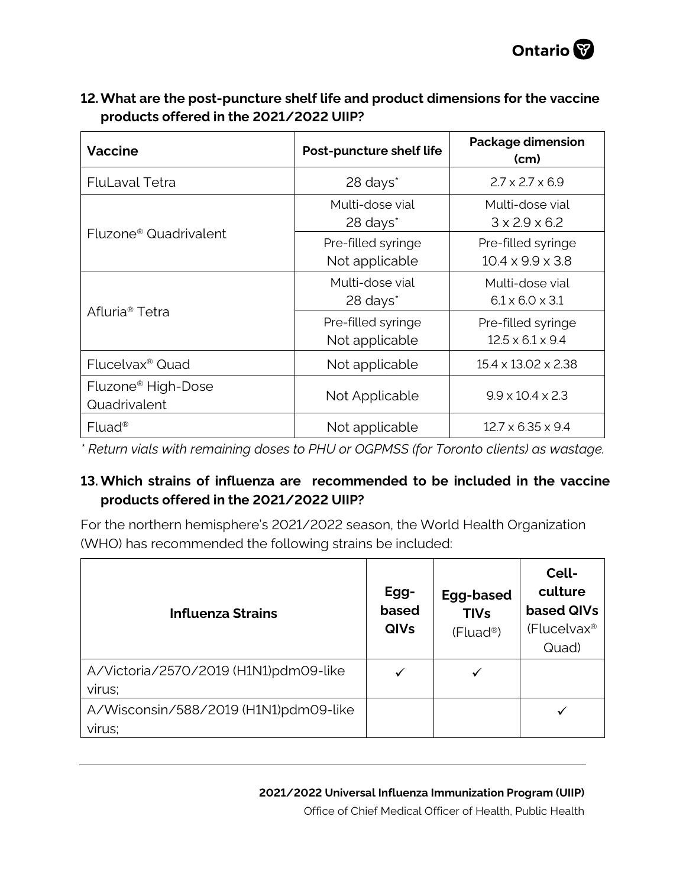

| <b>Vaccine</b>                                 | Post-puncture shelf life                | <b>Package dimension</b><br>(cm)                   |  |
|------------------------------------------------|-----------------------------------------|----------------------------------------------------|--|
| <b>FluLaval Tetra</b>                          | 28 days*                                | $2.7 \times 2.7 \times 6.9$                        |  |
|                                                | Multi-dose vial<br>28 days <sup>*</sup> | Multi-dose vial<br>$3 \times 2.9 \times 6.2$       |  |
| Fluzone <sup>®</sup> Quadrivalent              | Pre-filled syringe<br>Not applicable    | Pre-filled syringe<br>$10.4 \times 9.9 \times 3.8$ |  |
|                                                | Multi-dose vial<br>28 days <sup>*</sup> | Multi-dose vial<br>$6.1 \times 6.0 \times 3.1$     |  |
| Afluria <sup>®</sup> Tetra                     | Pre-filled syringe<br>Not applicable    | Pre-filled syringe<br>$12.5 \times 6.1 \times 9.4$ |  |
| Flucelvax <sup>®</sup> Quad                    | Not applicable                          | 15.4 x 13.02 x 2.38                                |  |
| Fluzone <sup>®</sup> High-Dose<br>Quadrivalent | Not Applicable                          | $9.9 \times 10.4 \times 2.3$                       |  |
| $Fluad^®$                                      | Not applicable                          | $12.7 \times 6.35 \times 9.4$                      |  |

# **12.What are the post-puncture shelf life and product dimensions for the vaccine products offered in the 2021/2022 UIIP?**

<span id="page-10-0"></span>*\* Return vials with remaining doses to PHU or OGPMSS (for Toronto clients) as wastage.* 

# **13. Which strains of influenza are recommended to be included in the vaccine products offered in the 2021/2022 UIIP?**

For the northern hemisphere's 2021/2022 season, the World Health Organization (WHO) has recommended the following strains be included:

| <b>Influenza Strains</b>              | Egg-<br>based<br><b>QIVs</b> | Egg-based<br><b>TIVs</b><br>(Fluad <sup>®</sup> ) | Cell-<br>culture<br>based QIVs<br>(Flucelvax <sup>®</sup><br>Quad) |
|---------------------------------------|------------------------------|---------------------------------------------------|--------------------------------------------------------------------|
| A/Victoria/2570/2019 (H1N1)pdm09-like |                              |                                                   |                                                                    |
| virus;                                |                              |                                                   |                                                                    |
| A/Wisconsin/588/2019 (H1N1)pdm09-like |                              |                                                   |                                                                    |
| virus;                                |                              |                                                   |                                                                    |

Office of Chief Medical Officer of Health, Public Health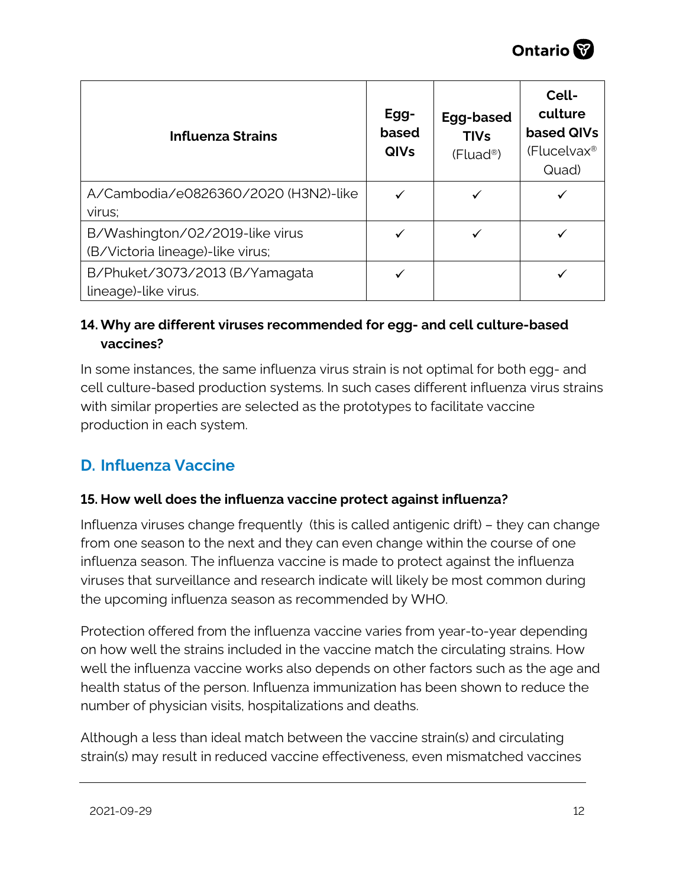

| <b>Influenza Strains</b>                               | Egg-<br>based<br><b>QIVs</b> | Egg-based<br><b>TIVs</b><br>$(Fluad^@)$ | Cell-<br>culture<br>based QIVs<br>(Flucelvax <sup>®</sup><br>Quad) |
|--------------------------------------------------------|------------------------------|-----------------------------------------|--------------------------------------------------------------------|
| A/Cambodia/e0826360/2020 (H3N2)-like                   |                              |                                         |                                                                    |
| virus;                                                 |                              |                                         |                                                                    |
| B/Washington/02/2019-like virus                        |                              |                                         |                                                                    |
| (B/Victoria lineage)-like virus;                       |                              |                                         |                                                                    |
| B/Phuket/3073/2013 (B/Yamagata<br>lineage)-like virus. |                              |                                         |                                                                    |

# <span id="page-11-0"></span>**14. Why are different viruses recommended for egg- and cell culture-based vaccines?**

In some instances, the same influenza virus strain is not optimal for both egg- and cell culture-based production systems. In such cases different influenza virus strains with similar properties are selected as the prototypes to facilitate vaccine production in each system.

# <span id="page-11-1"></span>**D. Influenza Vaccine**

# <span id="page-11-2"></span>**15. How well does the influenza vaccine protect against influenza?**

Influenza viruses change frequently (this is called antigenic drift) – they can change from one season to the next and they can even change within the course of one influenza season. The influenza vaccine is made to protect against the influenza viruses that surveillance and research indicate will likely be most common during the upcoming influenza season as recommended by WHO.

Protection offered from the influenza vaccine varies from year-to-year depending on how well the strains included in the vaccine match the circulating strains. How well the influenza vaccine works also depends on other factors such as the age and health status of the person. Influenza immunization has been shown to reduce the number of physician visits, hospitalizations and deaths.

Although a less than ideal match between the vaccine strain(s) and circulating strain(s) may result in reduced vaccine effectiveness, even mismatched vaccines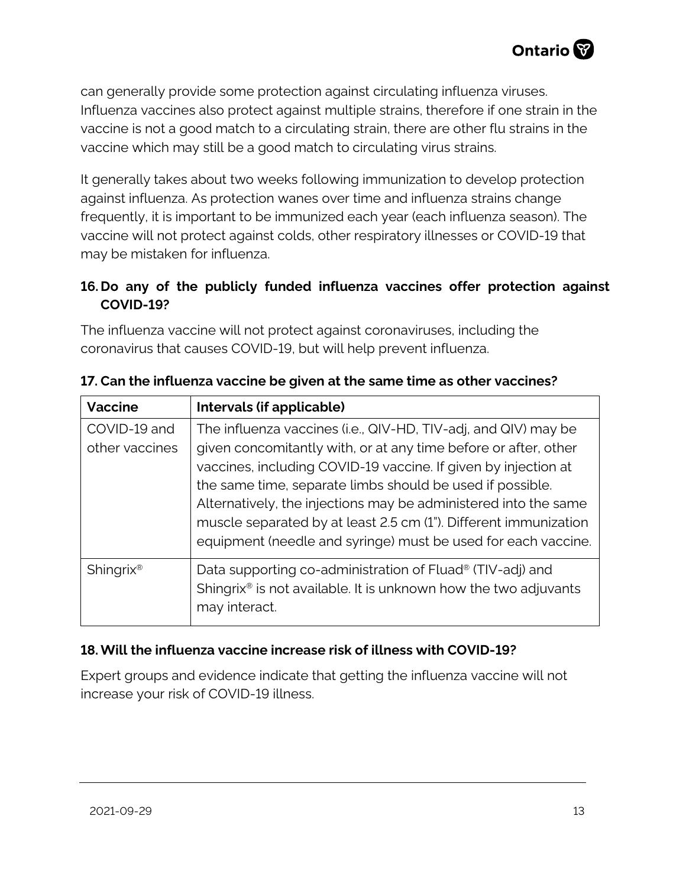can generally provide some protection against circulating influenza viruses. Influenza vaccines also protect against multiple strains, therefore if one strain in the vaccine is not a good match to a circulating strain, there are other flu strains in the vaccine which may still be a good match to circulating virus strains.

It generally takes about two weeks following immunization to develop protection against influenza. As protection wanes over time and influenza strains change frequently, it is important to be immunized each year (each influenza season). The vaccine will not protect against colds, other respiratory illnesses or COVID-19 that may be mistaken for influenza.

# <span id="page-12-0"></span>**16. Do any of the publicly funded influenza vaccines offer protection against COVID-19?**

The influenza vaccine will not protect against coronaviruses, including the coronavirus that causes COVID-19, but will help prevent influenza.

| <b>Vaccine</b>        | Intervals (if applicable)                                                   |
|-----------------------|-----------------------------------------------------------------------------|
| COVID-19 and          | The influenza vaccines (i.e., QIV-HD, TIV-adj, and QIV) may be              |
| other vaccines        | given concomitantly with, or at any time before or after, other             |
|                       | vaccines, including COVID-19 vaccine. If given by injection at              |
|                       | the same time, separate limbs should be used if possible.                   |
|                       | Alternatively, the injections may be administered into the same             |
|                       | muscle separated by at least 2.5 cm (1"). Different immunization            |
|                       | equipment (needle and syringe) must be used for each vaccine.               |
| Shingrix <sup>®</sup> | Data supporting co-administration of Fluad <sup>®</sup> (TIV-adj) and       |
|                       | Shingrix <sup>®</sup> is not available. It is unknown how the two adjuvants |
|                       | may interact.                                                               |

<span id="page-12-1"></span>**17. Can the influenza vaccine be given at the same time as other vaccines?**

# **18. Will the influenza vaccine increase risk of illness with COVID-19?**

<span id="page-12-3"></span><span id="page-12-2"></span>Expert groups and evidence indicate that getting the influenza vaccine will not increase your risk of COVID-19 illness.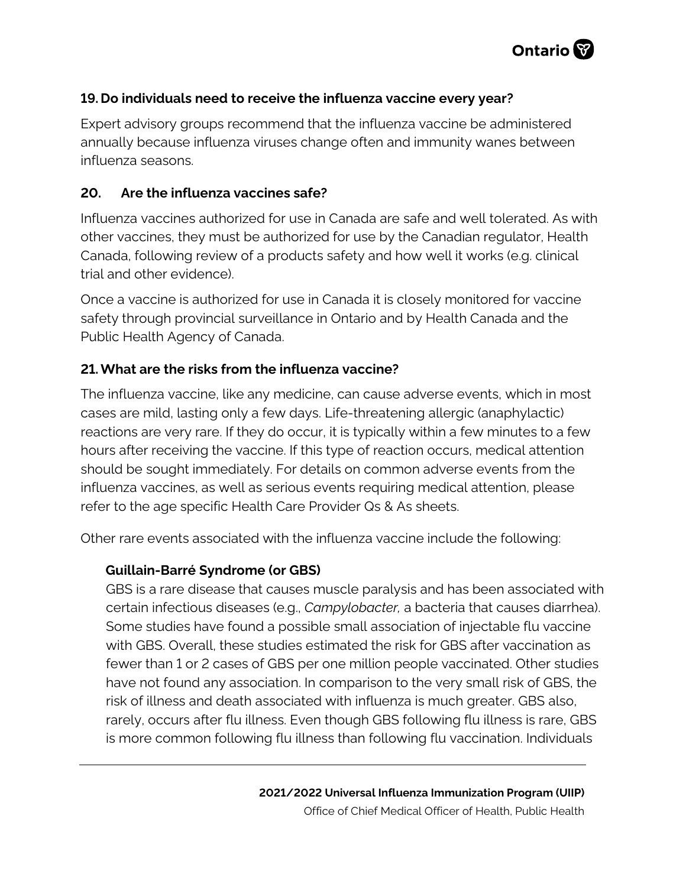

## **19. Do individuals need to receive the influenza vaccine every year?**

Expert advisory groups recommend that the influenza vaccine be administered annually because influenza viruses change often and immunity wanes between influenza seasons.

#### <span id="page-13-0"></span>**20. Are the influenza vaccines safe?**

Influenza vaccines authorized for use in Canada are safe and well tolerated. As with other vaccines, they must be authorized for use by the Canadian regulator, Health Canada, following review of a products safety and how well it works (e.g. clinical trial and other evidence).

Once a vaccine is authorized for use in Canada it is closely monitored for vaccine safety through provincial surveillance in Ontario and by Health Canada and the Public Health Agency of Canada.

## <span id="page-13-1"></span>**21.What are the risks from the influenza vaccine?**

The influenza vaccine, like any medicine, can cause adverse events, which in most cases are mild, lasting only a few days. Life-threatening allergic (anaphylactic) reactions are very rare. If they do occur, it is typically within a few minutes to a few hours after receiving the vaccine. If this type of reaction occurs, medical attention should be sought immediately. For details on common adverse events from the influenza vaccines, as well as serious events requiring medical attention, please refer to the age specific Health Care Provider Qs & As sheets.

Other rare events associated with the influenza vaccine include the following:

#### **Guillain-Barré Syndrome (or GBS)**

GBS is a rare disease that causes muscle paralysis and has been associated with certain infectious diseases (e.g., *Campylobacter,* a bacteria that causes diarrhea). Some studies have found a possible small association of injectable flu vaccine with GBS. Overall, these studies estimated the risk for GBS after vaccination as fewer than 1 or 2 cases of GBS per one million people vaccinated. Other studies have not found any association. In comparison to the very small risk of GBS, the risk of illness and death associated with influenza is much greater. GBS also, rarely, occurs after flu illness. Even though GBS following flu illness is rare, GBS is more common following flu illness than following flu vaccination. Individuals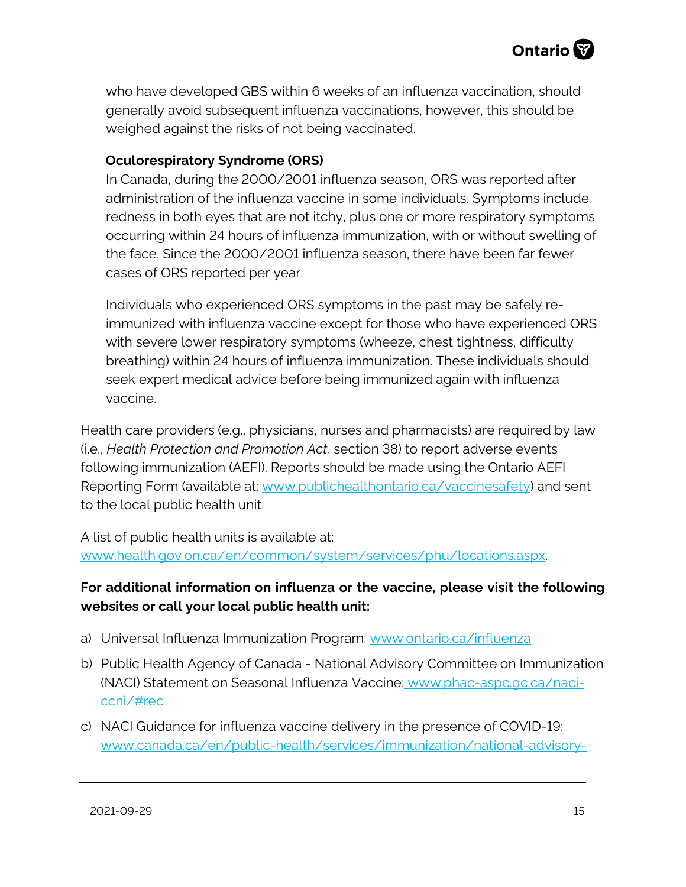

who have developed GBS within 6 weeks of an influenza vaccination, should generally avoid subsequent influenza vaccinations, however, this should be weighed against the risks of not being vaccinated.

## **Oculorespiratory Syndrome (ORS)**

In Canada, during the 2000/2001 influenza season, ORS was reported after administration of the influenza vaccine in some individuals. Symptoms include redness in both eyes that are not itchy, plus one or more respiratory symptoms occurring within 24 hours of influenza immunization, with or without swelling of the face. Since the 2000/2001 influenza season, there have been far fewer cases of ORS reported per year.

Individuals who experienced ORS symptoms in the past may be safely reimmunized with influenza vaccine except for those who have experienced ORS with severe lower respiratory symptoms (wheeze, chest tightness, difficulty breathing) within 24 hours of influenza immunization. These individuals should seek expert medical advice before being immunized again with influenza vaccine.

Health care providers (e.g., physicians, nurses and pharmacists) are required by law (i.e., *Health Protection and Promotion Act,* section 38) to report adverse events following immunization (AEFI). Reports should be made using the Ontario AEFI Reporting Form (available at: [www.publichealthontario.ca/vaccinesafety\)](http://www.publichealthontario.ca/vaccinesafety) and sent to the local public health unit.

A list of public health units is available at: [www.health.gov.on.ca/en/common/system/services/phu/locations.aspx.](http://www.health.gov.on.ca/en/common/system/services/phu/locations.aspx)

# **For additional information on influenza or the vaccine, please visit the following websites or call your local public health unit:**

- a) Universal Influenza Immunization Program: [www.ontario.ca/influenza](http://www.ontario.ca/influenza)
- b) Public Health Agency of Canada National Advisory Committee on Immunization (NACI) Statement on Seasonal Influenza Vaccine: [www.phac-aspc.gc.ca/naci](http://www.phac-aspc.gc.ca/naci-ccni/#rec)[ccni/#rec](http://www.phac-aspc.gc.ca/naci-ccni/#rec)
- c) NACI Guidance for influenza vaccine delivery in the presence of COVID-19: [www.canada.ca/en/public-health/services/immunization/national-advisory-](http://www.canada.ca/en/public-health/services/immunization/national-advisory-committee-on-immunization-naci/guidance-influenza-vaccine-delivery-covid-19.html)